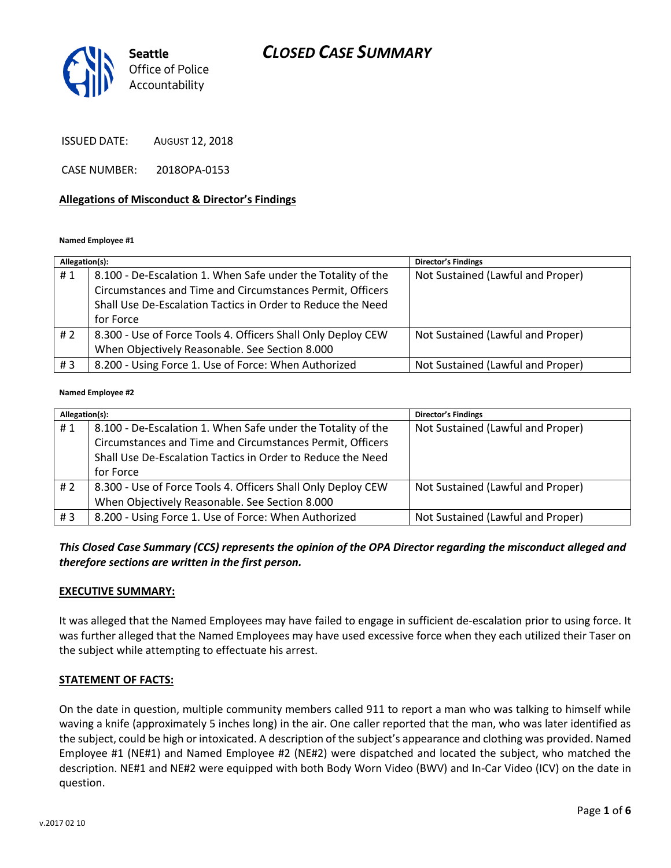

ISSUED DATE: AUGUST 12, 2018

CASE NUMBER: 2018OPA-0153

#### **Allegations of Misconduct & Director's Findings**

**Named Employee #1**

| Allegation(s): |                                                              | <b>Director's Findings</b>        |
|----------------|--------------------------------------------------------------|-----------------------------------|
| #1             | 8.100 - De-Escalation 1. When Safe under the Totality of the | Not Sustained (Lawful and Proper) |
|                | Circumstances and Time and Circumstances Permit, Officers    |                                   |
|                | Shall Use De-Escalation Tactics in Order to Reduce the Need  |                                   |
|                | for Force                                                    |                                   |
| #2             | 8.300 - Use of Force Tools 4. Officers Shall Only Deploy CEW | Not Sustained (Lawful and Proper) |
|                | When Objectively Reasonable. See Section 8.000               |                                   |
| #3             | 8.200 - Using Force 1. Use of Force: When Authorized         | Not Sustained (Lawful and Proper) |

#### **Named Employee #2**

| Allegation(s): |                                                              | <b>Director's Findings</b>        |
|----------------|--------------------------------------------------------------|-----------------------------------|
| #1             | 8.100 - De-Escalation 1. When Safe under the Totality of the | Not Sustained (Lawful and Proper) |
|                | Circumstances and Time and Circumstances Permit, Officers    |                                   |
|                | Shall Use De-Escalation Tactics in Order to Reduce the Need  |                                   |
|                | for Force                                                    |                                   |
| #2             | 8.300 - Use of Force Tools 4. Officers Shall Only Deploy CEW | Not Sustained (Lawful and Proper) |
|                | When Objectively Reasonable. See Section 8.000               |                                   |
| #3             | 8.200 - Using Force 1. Use of Force: When Authorized         | Not Sustained (Lawful and Proper) |

*This Closed Case Summary (CCS) represents the opinion of the OPA Director regarding the misconduct alleged and therefore sections are written in the first person.* 

#### **EXECUTIVE SUMMARY:**

It was alleged that the Named Employees may have failed to engage in sufficient de-escalation prior to using force. It was further alleged that the Named Employees may have used excessive force when they each utilized their Taser on the subject while attempting to effectuate his arrest.

#### **STATEMENT OF FACTS:**

On the date in question, multiple community members called 911 to report a man who was talking to himself while waving a knife (approximately 5 inches long) in the air. One caller reported that the man, who was later identified as the subject, could be high or intoxicated. A description of the subject's appearance and clothing was provided. Named Employee #1 (NE#1) and Named Employee #2 (NE#2) were dispatched and located the subject, who matched the description. NE#1 and NE#2 were equipped with both Body Worn Video (BWV) and In-Car Video (ICV) on the date in question.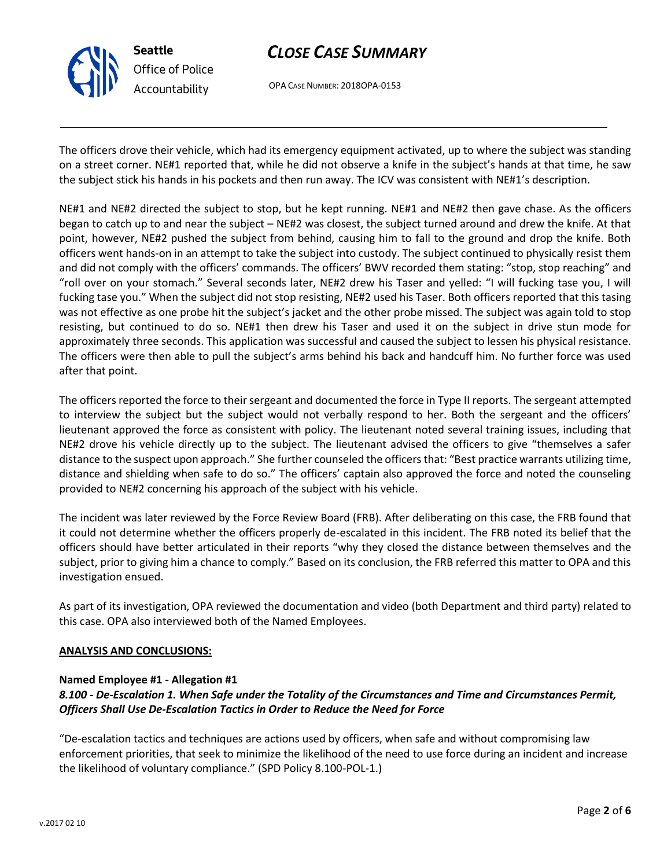

OPA CASE NUMBER: 2018OPA-0153

The officers drove their vehicle, which had its emergency equipment activated, up to where the subject was standing on a street corner. NE#1 reported that, while he did not observe a knife in the subject's hands at that time, he saw the subject stick his hands in his pockets and then run away. The ICV was consistent with NE#1's description.

NE#1 and NE#2 directed the subject to stop, but he kept running. NE#1 and NE#2 then gave chase. As the officers began to catch up to and near the subject – NE#2 was closest, the subject turned around and drew the knife. At that point, however, NE#2 pushed the subject from behind, causing him to fall to the ground and drop the knife. Both officers went hands-on in an attempt to take the subject into custody. The subject continued to physically resist them and did not comply with the officers' commands. The officers' BWV recorded them stating: "stop, stop reaching" and "roll over on your stomach." Several seconds later, NE#2 drew his Taser and yelled: "I will fucking tase you, I will fucking tase you." When the subject did not stop resisting, NE#2 used his Taser. Both officers reported that this tasing was not effective as one probe hit the subject's jacket and the other probe missed. The subject was again told to stop resisting, but continued to do so. NE#1 then drew his Taser and used it on the subject in drive stun mode for approximately three seconds. This application was successful and caused the subject to lessen his physical resistance. The officers were then able to pull the subject's arms behind his back and handcuff him. No further force was used after that point.

The officers reported the force to their sergeant and documented the force in Type II reports. The sergeant attempted to interview the subject but the subject would not verbally respond to her. Both the sergeant and the officers' lieutenant approved the force as consistent with policy. The lieutenant noted several training issues, including that NE#2 drove his vehicle directly up to the subject. The lieutenant advised the officers to give "themselves a safer distance to the suspect upon approach." She further counseled the officers that: "Best practice warrants utilizing time, distance and shielding when safe to do so." The officers' captain also approved the force and noted the counseling provided to NE#2 concerning his approach of the subject with his vehicle.

The incident was later reviewed by the Force Review Board (FRB). After deliberating on this case, the FRB found that it could not determine whether the officers properly de-escalated in this incident. The FRB noted its belief that the officers should have better articulated in their reports "why they closed the distance between themselves and the subject, prior to giving him a chance to comply." Based on its conclusion, the FRB referred this matter to OPA and this investigation ensued.

As part of its investigation, OPA reviewed the documentation and video (both Department and third party) related to this case. OPA also interviewed both of the Named Employees.

#### **ANALYSIS AND CONCLUSIONS:**

#### **Named Employee #1 - Allegation #1**

## *8.100 - De-Escalation 1. When Safe under the Totality of the Circumstances and Time and Circumstances Permit, Officers Shall Use De-Escalation Tactics in Order to Reduce the Need for Force*

"De-escalation tactics and techniques are actions used by officers, when safe and without compromising law enforcement priorities, that seek to minimize the likelihood of the need to use force during an incident and increase the likelihood of voluntary compliance." (SPD Policy 8.100-POL-1.)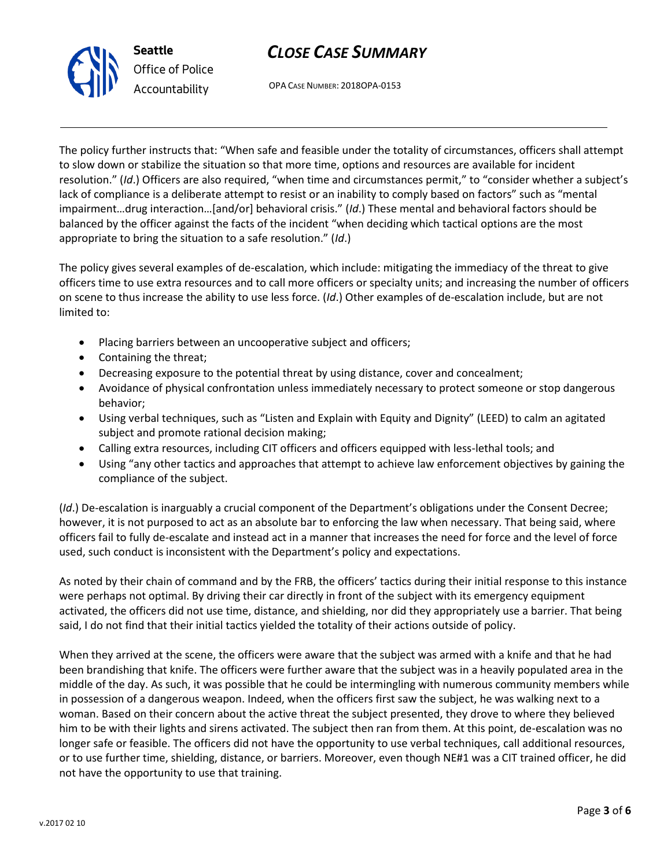

OPA CASE NUMBER: 2018OPA-0153

The policy further instructs that: "When safe and feasible under the totality of circumstances, officers shall attempt to slow down or stabilize the situation so that more time, options and resources are available for incident resolution." (*Id*.) Officers are also required, "when time and circumstances permit," to "consider whether a subject's lack of compliance is a deliberate attempt to resist or an inability to comply based on factors" such as "mental impairment…drug interaction…[and/or] behavioral crisis." (*Id*.) These mental and behavioral factors should be balanced by the officer against the facts of the incident "when deciding which tactical options are the most appropriate to bring the situation to a safe resolution." (*Id*.)

The policy gives several examples of de-escalation, which include: mitigating the immediacy of the threat to give officers time to use extra resources and to call more officers or specialty units; and increasing the number of officers on scene to thus increase the ability to use less force. (*Id*.) Other examples of de-escalation include, but are not limited to:

- Placing barriers between an uncooperative subject and officers;
- Containing the threat;
- Decreasing exposure to the potential threat by using distance, cover and concealment;
- Avoidance of physical confrontation unless immediately necessary to protect someone or stop dangerous behavior;
- Using verbal techniques, such as "Listen and Explain with Equity and Dignity" (LEED) to calm an agitated subject and promote rational decision making;
- Calling extra resources, including CIT officers and officers equipped with less-lethal tools; and
- Using "any other tactics and approaches that attempt to achieve law enforcement objectives by gaining the compliance of the subject.

(*Id*.) De-escalation is inarguably a crucial component of the Department's obligations under the Consent Decree; however, it is not purposed to act as an absolute bar to enforcing the law when necessary. That being said, where officers fail to fully de-escalate and instead act in a manner that increases the need for force and the level of force used, such conduct is inconsistent with the Department's policy and expectations.

As noted by their chain of command and by the FRB, the officers' tactics during their initial response to this instance were perhaps not optimal. By driving their car directly in front of the subject with its emergency equipment activated, the officers did not use time, distance, and shielding, nor did they appropriately use a barrier. That being said, I do not find that their initial tactics yielded the totality of their actions outside of policy.

When they arrived at the scene, the officers were aware that the subject was armed with a knife and that he had been brandishing that knife. The officers were further aware that the subject was in a heavily populated area in the middle of the day. As such, it was possible that he could be intermingling with numerous community members while in possession of a dangerous weapon. Indeed, when the officers first saw the subject, he was walking next to a woman. Based on their concern about the active threat the subject presented, they drove to where they believed him to be with their lights and sirens activated. The subject then ran from them. At this point, de-escalation was no longer safe or feasible. The officers did not have the opportunity to use verbal techniques, call additional resources, or to use further time, shielding, distance, or barriers. Moreover, even though NE#1 was a CIT trained officer, he did not have the opportunity to use that training.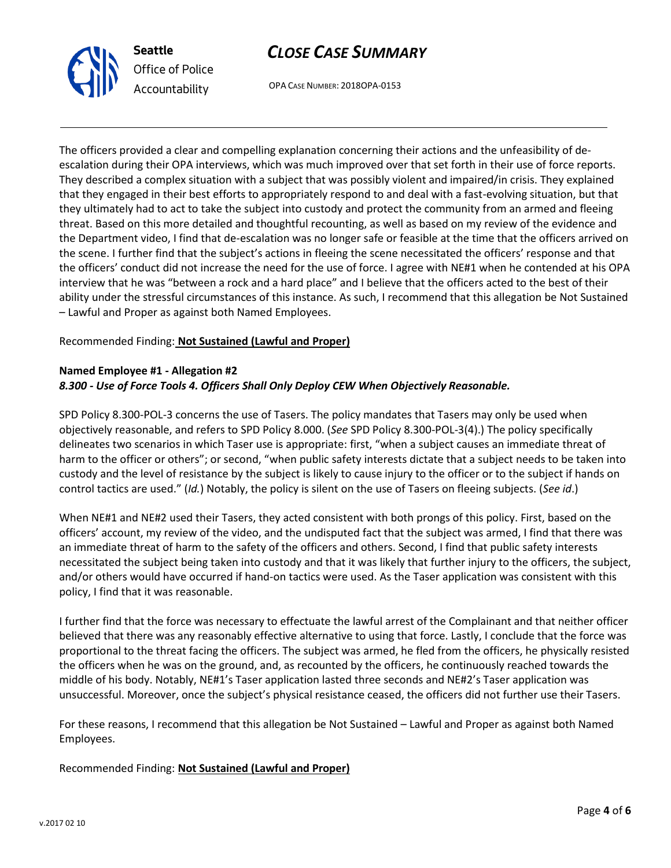



OPA CASE NUMBER: 2018OPA-0153

The officers provided a clear and compelling explanation concerning their actions and the unfeasibility of deescalation during their OPA interviews, which was much improved over that set forth in their use of force reports. They described a complex situation with a subject that was possibly violent and impaired/in crisis. They explained that they engaged in their best efforts to appropriately respond to and deal with a fast-evolving situation, but that they ultimately had to act to take the subject into custody and protect the community from an armed and fleeing threat. Based on this more detailed and thoughtful recounting, as well as based on my review of the evidence and the Department video, I find that de-escalation was no longer safe or feasible at the time that the officers arrived on the scene. I further find that the subject's actions in fleeing the scene necessitated the officers' response and that the officers' conduct did not increase the need for the use of force. I agree with NE#1 when he contended at his OPA interview that he was "between a rock and a hard place" and I believe that the officers acted to the best of their ability under the stressful circumstances of this instance. As such, I recommend that this allegation be Not Sustained – Lawful and Proper as against both Named Employees.

### Recommended Finding: **Not Sustained (Lawful and Proper)**

#### **Named Employee #1 - Allegation #2** *8.300 - Use of Force Tools 4. Officers Shall Only Deploy CEW When Objectively Reasonable.*

SPD Policy 8.300-POL-3 concerns the use of Tasers. The policy mandates that Tasers may only be used when objectively reasonable, and refers to SPD Policy 8.000. (*See* SPD Policy 8.300-POL-3(4).) The policy specifically delineates two scenarios in which Taser use is appropriate: first, "when a subject causes an immediate threat of harm to the officer or others"; or second, "when public safety interests dictate that a subject needs to be taken into custody and the level of resistance by the subject is likely to cause injury to the officer or to the subject if hands on control tactics are used." (*Id.*) Notably, the policy is silent on the use of Tasers on fleeing subjects. (*See id*.)

When NE#1 and NE#2 used their Tasers, they acted consistent with both prongs of this policy. First, based on the officers' account, my review of the video, and the undisputed fact that the subject was armed, I find that there was an immediate threat of harm to the safety of the officers and others. Second, I find that public safety interests necessitated the subject being taken into custody and that it was likely that further injury to the officers, the subject, and/or others would have occurred if hand-on tactics were used. As the Taser application was consistent with this policy, I find that it was reasonable.

I further find that the force was necessary to effectuate the lawful arrest of the Complainant and that neither officer believed that there was any reasonably effective alternative to using that force. Lastly, I conclude that the force was proportional to the threat facing the officers. The subject was armed, he fled from the officers, he physically resisted the officers when he was on the ground, and, as recounted by the officers, he continuously reached towards the middle of his body. Notably, NE#1's Taser application lasted three seconds and NE#2's Taser application was unsuccessful. Moreover, once the subject's physical resistance ceased, the officers did not further use their Tasers.

For these reasons, I recommend that this allegation be Not Sustained – Lawful and Proper as against both Named Employees.

### Recommended Finding: **Not Sustained (Lawful and Proper)**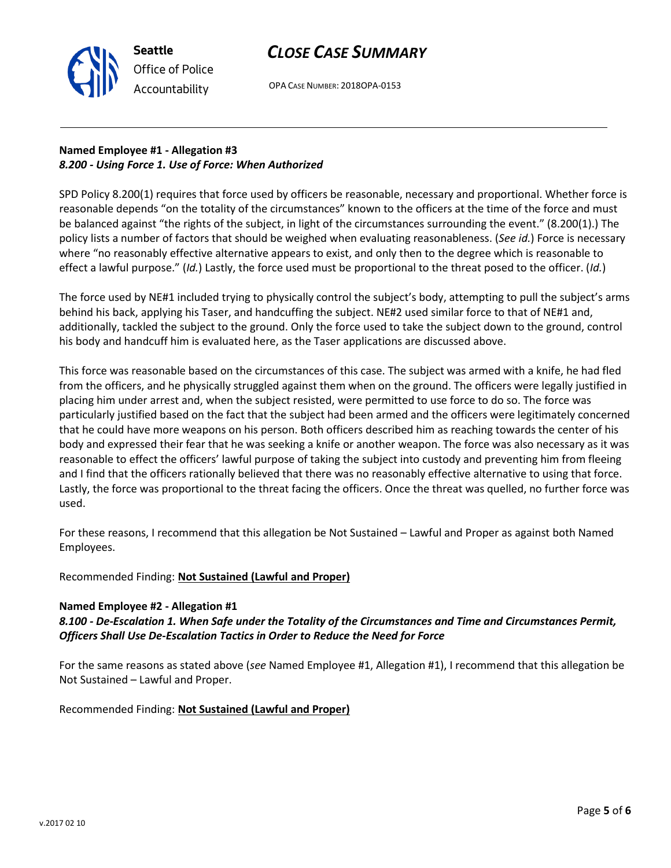

OPA CASE NUMBER: 2018OPA-0153

## **Named Employee #1 - Allegation #3** *8.200 - Using Force 1. Use of Force: When Authorized*

SPD Policy 8.200(1) requires that force used by officers be reasonable, necessary and proportional. Whether force is reasonable depends "on the totality of the circumstances" known to the officers at the time of the force and must be balanced against "the rights of the subject, in light of the circumstances surrounding the event." (8.200(1).) The policy lists a number of factors that should be weighed when evaluating reasonableness. (*See id.*) Force is necessary where "no reasonably effective alternative appears to exist, and only then to the degree which is reasonable to effect a lawful purpose." (*Id.*) Lastly, the force used must be proportional to the threat posed to the officer. (*Id.*)

The force used by NE#1 included trying to physically control the subject's body, attempting to pull the subject's arms behind his back, applying his Taser, and handcuffing the subject. NE#2 used similar force to that of NE#1 and, additionally, tackled the subject to the ground. Only the force used to take the subject down to the ground, control his body and handcuff him is evaluated here, as the Taser applications are discussed above.

This force was reasonable based on the circumstances of this case. The subject was armed with a knife, he had fled from the officers, and he physically struggled against them when on the ground. The officers were legally justified in placing him under arrest and, when the subject resisted, were permitted to use force to do so. The force was particularly justified based on the fact that the subject had been armed and the officers were legitimately concerned that he could have more weapons on his person. Both officers described him as reaching towards the center of his body and expressed their fear that he was seeking a knife or another weapon. The force was also necessary as it was reasonable to effect the officers' lawful purpose of taking the subject into custody and preventing him from fleeing and I find that the officers rationally believed that there was no reasonably effective alternative to using that force. Lastly, the force was proportional to the threat facing the officers. Once the threat was quelled, no further force was used.

For these reasons, I recommend that this allegation be Not Sustained – Lawful and Proper as against both Named Employees.

Recommended Finding: **Not Sustained (Lawful and Proper)**

### **Named Employee #2 - Allegation #1**

### *8.100 - De-Escalation 1. When Safe under the Totality of the Circumstances and Time and Circumstances Permit, Officers Shall Use De-Escalation Tactics in Order to Reduce the Need for Force*

For the same reasons as stated above (*see* Named Employee #1, Allegation #1), I recommend that this allegation be Not Sustained – Lawful and Proper.

Recommended Finding: **Not Sustained (Lawful and Proper)**